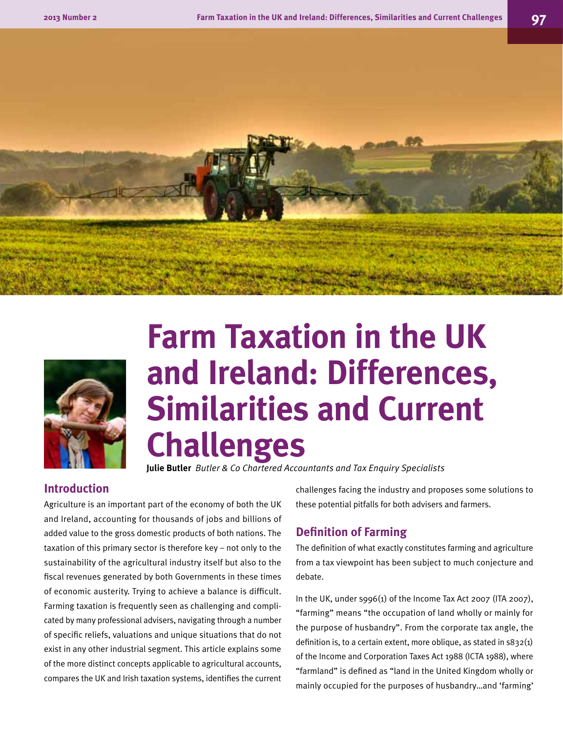



# **Farm Taxation in the UK and Ireland: Differences, Similarities and Current Challenges**

**Julie Butler** *Butler & Co Chartered Accountants and Tax Enquiry Specialists*

# **Introduction**

Agriculture is an important part of the economy of both the UK and Ireland, accounting for thousands of jobs and billions of added value to the gross domestic products of both nations. The taxation of this primary sector is therefore key – not only to the sustainability of the agricultural industry itself but also to the fiscal revenues generated by both Governments in these times of economic austerity. Trying to achieve a balance is difficult. Farming taxation is frequently seen as challenging and complicated by many professional advisers, navigating through a number of specific reliefs, valuations and unique situations that do not exist in any other industrial segment. This article explains some of the more distinct concepts applicable to agricultural accounts, compares the UK and Irish taxation systems, identifies the current challenges facing the industry and proposes some solutions to these potential pitfalls for both advisers and farmers.

# **Definition of Farming**

The definition of what exactly constitutes farming and agriculture from a tax viewpoint has been subject to much conjecture and debate.

In the UK, under s996(1) of the Income Tax Act 2007 (ITA 2007), "farming" means "the occupation of land wholly or mainly for the purpose of husbandry". From the corporate tax angle, the definition is, to a certain extent, more oblique, as stated in  $s832(1)$ of the Income and Corporation Taxes Act 1988 (ICTA 1988), where "farmland" is defined as "land in the United Kingdom wholly or mainly occupied for the purposes of husbandry…and 'farming'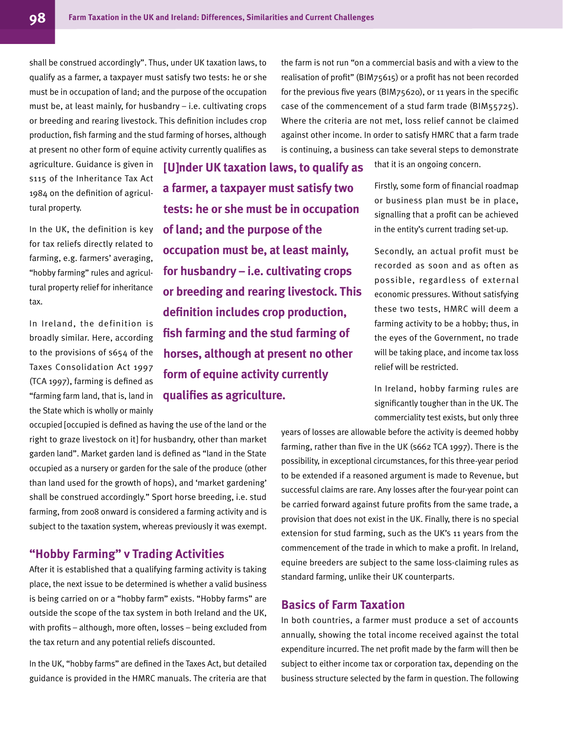shall be construed accordingly". Thus, under UK taxation laws, to qualify as a farmer, a taxpayer must satisfy two tests: he or she must be in occupation of land; and the purpose of the occupation must be, at least mainly, for husbandry – i.e. cultivating crops or breeding and rearing livestock. This definition includes crop production, fish farming and the stud farming of horses, although at present no other form of equine activity currently qualifies as

agriculture. Guidance is given in s115 of the Inheritance Tax Act 1984 on the definition of agricultural property.

In the UK, the definition is key for tax reliefs directly related to farming, e.g. farmers' averaging, "hobby farming" rules and agricultural property relief for inheritance tax.

In Ireland, the definition is broadly similar. Here, according to the provisions of s654 of the Taxes Consolidation Act 1997 (TCA 1997), farming is defined as "farming farm land, that is, land in the State which is wholly or mainly

**[U]nder UK taxation laws, to qualify as a farmer, a taxpayer must satisfy two tests: he or she must be in occupation of land; and the purpose of the occupation must be, at least mainly, for husbandry – i.e. cultivating crops or breeding and rearing livestock. This definition includes crop production, fish farming and the stud farming of horses, although at present no other form of equine activity currently qualifies as agriculture.**

occupied [occupied is defined as having the use of the land or the right to graze livestock on it] for husbandry, other than market garden land". Market garden land is defined as "land in the State occupied as a nursery or garden for the sale of the produce (other than land used for the growth of hops), and 'market gardening' shall be construed accordingly." Sport horse breeding, i.e. stud farming, from 2008 onward is considered a farming activity and is subject to the taxation system, whereas previously it was exempt.

# **"Hobby Farming" v Trading Activities**

After it is established that a qualifying farming activity is taking place, the next issue to be determined is whether a valid business is being carried on or a "hobby farm" exists. "Hobby farms" are outside the scope of the tax system in both Ireland and the UK, with profits – although, more often, losses – being excluded from the tax return and any potential reliefs discounted.

In the UK, "hobby farms" are defined in the Taxes Act, but detailed guidance is provided in the HMRC manuals. The criteria are that

the farm is not run "on a commercial basis and with a view to the realisation of profit" (BIM75615) or a profit has not been recorded for the previous five years (BIM75620), or 11 years in the specific case of the commencement of a stud farm trade (BIM55725). Where the criteria are not met, loss relief cannot be claimed against other income. In order to satisfy HMRC that a farm trade is continuing, a business can take several steps to demonstrate

that it is an ongoing concern.

Firstly, some form of financial roadmap or business plan must be in place, signalling that a profit can be achieved in the entity's current trading set-up.

Secondly, an actual profit must be recorded as soon and as often as possible, regardless of external economic pressures. Without satisfying these two tests, HMRC will deem a farming activity to be a hobby; thus, in the eyes of the Government, no trade will be taking place, and income tax loss relief will be restricted.

In Ireland, hobby farming rules are significantly tougher than in the UK. The commerciality test exists, but only three

years of losses are allowable before the activity is deemed hobby farming, rather than five in the UK (s662 TCA 1997). There is the possibility, in exceptional circumstances, for this three-year period to be extended if a reasoned argument is made to Revenue, but successful claims are rare. Any losses after the four-year point can be carried forward against future profits from the same trade, a provision that does not exist in the UK. Finally, there is no special extension for stud farming, such as the UK's 11 years from the commencement of the trade in which to make a profit. In Ireland, equine breeders are subject to the same loss-claiming rules as standard farming, unlike their UK counterparts.

# **Basics of Farm Taxation**

In both countries, a farmer must produce a set of accounts annually, showing the total income received against the total expenditure incurred. The net profit made by the farm will then be subject to either income tax or corporation tax, depending on the business structure selected by the farm in question. The following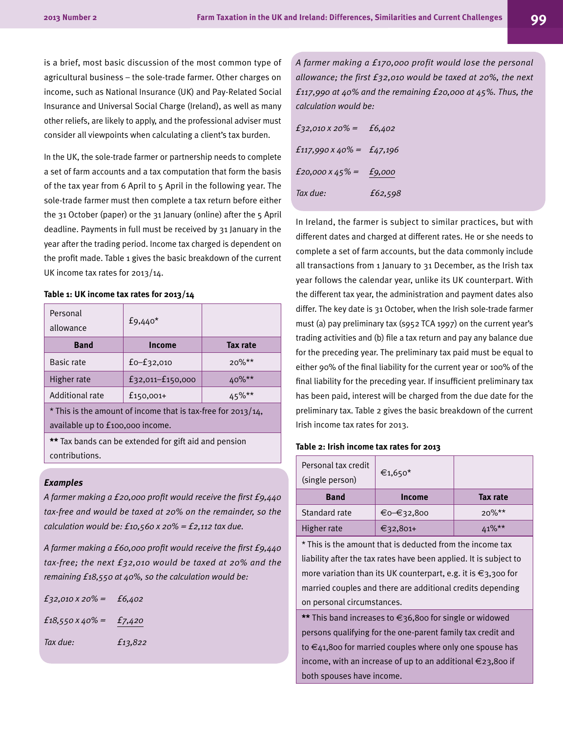is a brief, most basic discussion of the most common type of agricultural business – the sole-trade farmer. Other charges on income, such as National Insurance (UK) and Pay-Related Social Insurance and Universal Social Charge (Ireland), as well as many other reliefs, are likely to apply, and the professional adviser must consider all viewpoints when calculating a client's tax burden.

In the UK, the sole-trade farmer or partnership needs to complete a set of farm accounts and a tax computation that form the basis of the tax year from 6 April to 5 April in the following year. The sole-trade farmer must then complete a tax return before either the 31 October (paper) or the 31 January (online) after the 5 April deadline. Payments in full must be received by 31 January in the year after the trading period. Income tax charged is dependent on the profit made. Table 1 gives the basic breakdown of the current UK income tax rates for 2013/14.

#### **Table 1: UK income tax rates for 2013/14**

| Personal<br>allowance | $f9,440*$            |          |
|-----------------------|----------------------|----------|
| <b>Band</b>           | Income               | Tax rate |
| <b>Basic rate</b>     | $f0-f32,010$         | $20\%**$ |
| Higher rate           | $f32,011 - f150,000$ | $40\%**$ |
| Additional rate       | $f150,001+$          | 45%**    |

\* This is the amount of income that is tax-free for 2013/14, available up to £100,000 income.

**\*\*** Tax bands can be extended for gift aid and pension contributions.

#### *Examples*

*A farmer making a £20,000 profit would receive the first £9,440 tax-free and would be taxed at 20% on the remainder, so the calculation would be: £10,560 x 20% = £2,112 tax due.*

*A farmer making a £60,000 profit would receive the first £9,440 tax-free; the next £32,010 would be taxed at 20% and the remaining £18,550 at 40%, so the calculation would be:*

| $f_{32,010} \times 20\% = f_{6,402}$ |         |
|--------------------------------------|---------|
| $f18,550 \times 40\% = f7,420$       |         |
| Tax due:                             | £13,822 |
|                                      |         |

*A farmer making a £170,000 profit would lose the personal allowance; the first £32,010 would be taxed at 20%, the next £117,990 at 40% and the remaining £20,000 at 45%. Thus, the calculation would be:*

| £32,010 x 20% =                        | £6,402  |
|----------------------------------------|---------|
| $f_{117,990} \times 40\% = f_{47,196}$ |         |
| $f_20,000 \times 45\% = f_9,000$       |         |
| Tax due:                               | £62,598 |

In Ireland, the farmer is subject to similar practices, but with different dates and charged at different rates. He or she needs to complete a set of farm accounts, but the data commonly include all transactions from 1 January to 31 December, as the Irish tax year follows the calendar year, unlike its UK counterpart. With the different tax year, the administration and payment dates also differ. The key date is 31 October, when the Irish sole-trade farmer must (a) pay preliminary tax (s952 TCA 1997) on the current year's trading activities and (b) file a tax return and pay any balance due for the preceding year. The preliminary tax paid must be equal to either 90% of the final liability for the current year or 100% of the final liability for the preceding year. If insufficient preliminary tax has been paid, interest will be charged from the due date for the preliminary tax. Table 2 gives the basic breakdown of the current Irish income tax rates for 2013.

#### **Table 2: Irish income tax rates for 2013**

| Personal tax credit<br>(single person) | €1,650 <sup>*</sup> |          |
|----------------------------------------|---------------------|----------|
| <b>Band</b>                            | Income              | Tax rate |
| Standard rate                          | €0-€32,800          | $20\%**$ |
| Higher rate                            | €32,801+            | $10/k*$  |

\* This is the amount that is deducted from the income tax liability after the tax rates have been applied. It is subject to more variation than its UK counterpart, e.g. it is  $\epsilon_3$ , 300 for married couples and there are additional credits depending on personal circumstances.

**\*\*** This band increases to €36,800 for single or widowed persons qualifying for the one-parent family tax credit and to €41,800 for married couples where only one spouse has income, with an increase of up to an additional €23,800 if both spouses have income.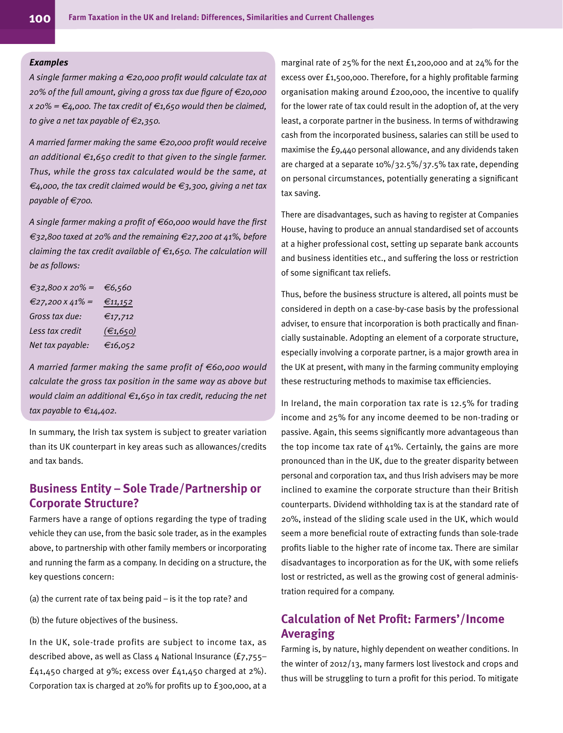#### *Examples*

*A single farmer making a €20,000 profit would calculate tax at 20% of the full amount, giving a gross tax due figure of €20,000 x 20% = €4,000. The tax credit of €1,650 would then be claimed, to give a net tax payable of €2,350.*

*A married farmer making the same €20,000 profit would receive an additional €1,650 credit to that given to the single farmer. Thus, while the gross tax calculated would be the same, at €4,000, the tax credit claimed would be €3,300, giving a net tax payable of €700.*

*A single farmer making a profit of €60,000 would have the first €32,800 taxed at 20% and the remaining €27,200 at 41%, before claiming the tax credit available of €1,650. The calculation will be as follows:*

| €32,800 x 20% =  | €6,560   |
|------------------|----------|
| €27,200 x 41% =  | €11,152  |
| Gross tax due:   | €17,712  |
| Less tax credit  | (€1,650) |
| Net tax payable: | €16,052  |

*A married farmer making the same profit of €60,000 would calculate the gross tax position in the same way as above but would claim an additional €1,650 in tax credit, reducing the net tax payable to €14,402.*

In summary, the Irish tax system is subject to greater variation than its UK counterpart in key areas such as allowances/credits and tax bands.

# **Business Entity – Sole Trade/Partnership or Corporate Structure?**

Farmers have a range of options regarding the type of trading vehicle they can use, from the basic sole trader, as in the examples above, to partnership with other family members or incorporating and running the farm as a company. In deciding on a structure, the key questions concern:

(a) the current rate of tax being paid – is it the top rate? and

(b) the future objectives of the business.

In the UK, sole-trade profits are subject to income tax, as described above, as well as Class 4 National Insurance (£7,755– £41,450 charged at 9%; excess over £41,450 charged at 2%). Corporation tax is charged at 20% for profits up to £300,000, at a

marginal rate of 25% for the next £1,200,000 and at 24% for the excess over £1,500,000. Therefore, for a highly profitable farming organisation making around £200,000, the incentive to qualify for the lower rate of tax could result in the adoption of, at the very least, a corporate partner in the business. In terms of withdrawing cash from the incorporated business, salaries can still be used to maximise the £9,440 personal allowance, and any dividends taken are charged at a separate 10%/32.5%/37.5% tax rate, depending on personal circumstances, potentially generating a significant tax saving.

There are disadvantages, such as having to register at Companies House, having to produce an annual standardised set of accounts at a higher professional cost, setting up separate bank accounts and business identities etc., and suffering the loss or restriction of some significant tax reliefs.

Thus, before the business structure is altered, all points must be considered in depth on a case-by-case basis by the professional adviser, to ensure that incorporation is both practically and financially sustainable. Adopting an element of a corporate structure, especially involving a corporate partner, is a major growth area in the UK at present, with many in the farming community employing these restructuring methods to maximise tax efficiencies.

In Ireland, the main corporation tax rate is 12.5% for trading income and 25% for any income deemed to be non-trading or passive. Again, this seems significantly more advantageous than the top income tax rate of  $41\%$ . Certainly, the gains are more pronounced than in the UK, due to the greater disparity between personal and corporation tax, and thus Irish advisers may be more inclined to examine the corporate structure than their British counterparts. Dividend withholding tax is at the standard rate of 20%, instead of the sliding scale used in the UK, which would seem a more beneficial route of extracting funds than sole-trade profits liable to the higher rate of income tax. There are similar disadvantages to incorporation as for the UK, with some reliefs lost or restricted, as well as the growing cost of general administration required for a company.

# **Calculation of Net Profit: Farmers'/Income Averaging**

Farming is, by nature, highly dependent on weather conditions. In the winter of 2012/13, many farmers lost livestock and crops and thus will be struggling to turn a profit for this period. To mitigate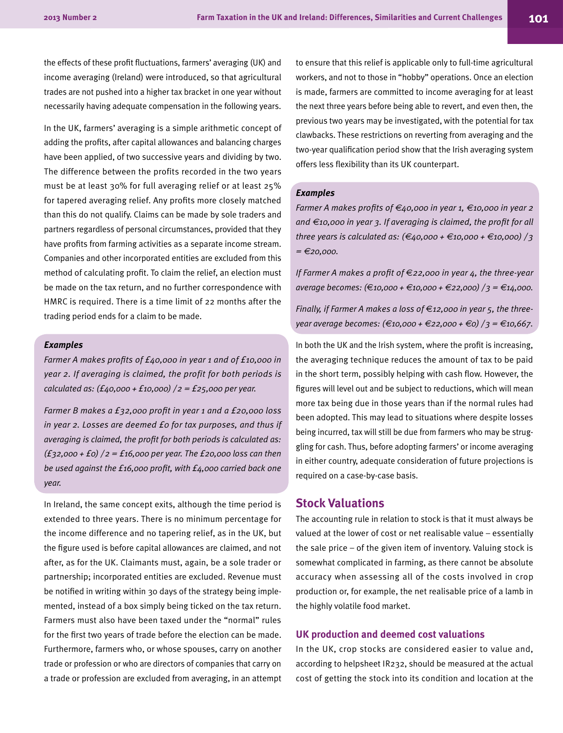the effects of these profit fluctuations, farmers' averaging (UK) and income averaging (Ireland) were introduced, so that agricultural trades are not pushed into a higher tax bracket in one year without necessarily having adequate compensation in the following years.

In the UK, farmers' averaging is a simple arithmetic concept of adding the profits, after capital allowances and balancing charges have been applied, of two successive years and dividing by two. The difference between the profits recorded in the two years must be at least 30% for full averaging relief or at least 25% for tapered averaging relief. Any profits more closely matched than this do not qualify. Claims can be made by sole traders and partners regardless of personal circumstances, provided that they have profits from farming activities as a separate income stream. Companies and other incorporated entities are excluded from this method of calculating profit. To claim the relief, an election must be made on the tax return, and no further correspondence with HMRC is required. There is a time limit of 22 months after the trading period ends for a claim to be made.

#### *Examples*

*Farmer A makes profits of £40,000 in year 1 and of £10,000 in year 2. If averaging is claimed, the profit for both periods is calculated as: (£40,000 + £10,000) / 2 = £25,000 per year.*

*Farmer B makes a £32,000 profit in year 1 and a £20,000 loss in year 2. Losses are deemed £0 for tax purposes, and thus if averaging is claimed, the profit for both periods is calculated as: (£32,000 + £0) / 2 = £16,000 per year. The £20,000 loss can then be used against the £16,000 profit, with £4,000 carried back one year.*

In Ireland, the same concept exits, although the time period is extended to three years. There is no minimum percentage for the income difference and no tapering relief, as in the UK, but the figure used is before capital allowances are claimed, and not after, as for the UK. Claimants must, again, be a sole trader or partnership; incorporated entities are excluded. Revenue must be notified in writing within 30 days of the strategy being implemented, instead of a box simply being ticked on the tax return. Farmers must also have been taxed under the "normal" rules for the first two years of trade before the election can be made. Furthermore, farmers who, or whose spouses, carry on another trade or profession or who are directors of companies that carry on a trade or profession are excluded from averaging, in an attempt to ensure that this relief is applicable only to full-time agricultural workers, and not to those in "hobby" operations. Once an election is made, farmers are committed to income averaging for at least the next three years before being able to revert, and even then, the previous two years may be investigated, with the potential for tax clawbacks. These restrictions on reverting from averaging and the two-year qualification period show that the Irish averaging system offers less flexibility than its UK counterpart.

#### *Examples*

*Farmer A makes profits of €40,000 in year 1, €10,000 in year 2 and €10,000 in year 3. If averaging is claimed, the profit for all three years is calculated as: (€40,000 + €10,000 + €10,000) / 3 = €20,000.*

*If Farmer A makes a profit of* €*22,000 in year 4, the three-year average becomes: (*€*10,000 + €10,000 + €22,000) / 3 = €14,000.*

*Finally, if Farmer A makes a loss of* €*12,000 in year 5, the threeyear average becomes: (€10,000 + €22,000 + €0) / 3 = €10,667.*

In both the UK and the Irish system, where the profit is increasing, the averaging technique reduces the amount of tax to be paid in the short term, possibly helping with cash flow. However, the figures will level out and be subject to reductions, which will mean more tax being due in those years than if the normal rules had been adopted. This may lead to situations where despite losses being incurred, tax will still be due from farmers who may be struggling for cash. Thus, before adopting farmers' or income averaging in either country, adequate consideration of future projections is required on a case-by-case basis.

# **Stock Valuations**

The accounting rule in relation to stock is that it must always be valued at the lower of cost or net realisable value – essentially the sale price – of the given item of inventory. Valuing stock is somewhat complicated in farming, as there cannot be absolute accuracy when assessing all of the costs involved in crop production or, for example, the net realisable price of a lamb in the highly volatile food market.

#### **UK production and deemed cost valuations**

In the UK, crop stocks are considered easier to value and, according to helpsheet IR232, should be measured at the actual cost of getting the stock into its condition and location at the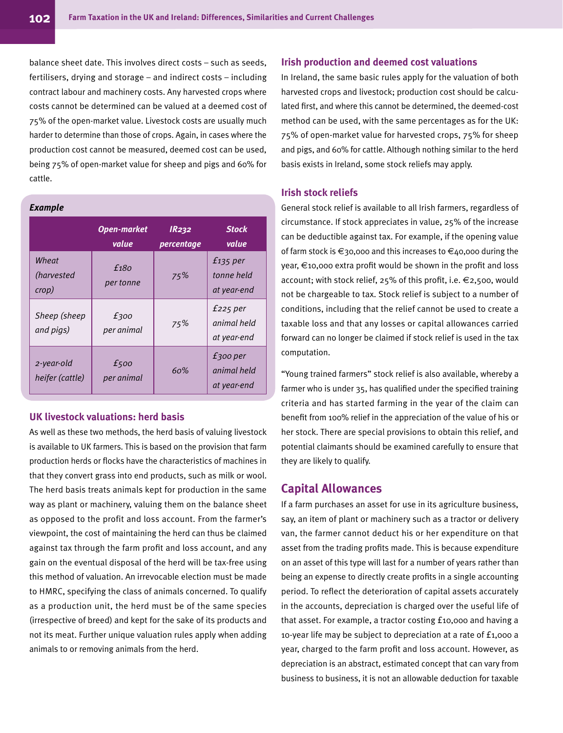balance sheet date. This involves direct costs – such as seeds, fertilisers, drying and storage – and indirect costs – including contract labour and machinery costs. Any harvested crops where costs cannot be determined can be valued at a deemed cost of 75% of the open-market value. Livestock costs are usually much harder to determine than those of crops. Again, in cases where the production cost cannot be measured, deemed cost can be used, being 75% of open-market value for sheep and pigs and 60% for cattle.

#### *Example*

|                                      | <b>Open-market</b><br>value | <b>IR232</b><br>percentage | <b>Stock</b><br>value                      |
|--------------------------------------|-----------------------------|----------------------------|--------------------------------------------|
| Wheat<br><i>(harvested)</i><br>crop) | £180<br>per tonne           | 75%                        | $f_{135}$ per<br>tonne held<br>at year-end |
| Sheep (sheep<br>and pigs)            | £300<br>per animal          | 75%                        | $f225$ per<br>animal held<br>at year-end   |
| 2-year-old<br>heifer (cattle)        | £500<br>per animal          | 60%                        | $f$ 300 per<br>animal held<br>at year-end  |

# **UK livestock valuations: herd basis**

As well as these two methods, the herd basis of valuing livestock is available to UK farmers. This is based on the provision that farm production herds or flocks have the characteristics of machines in that they convert grass into end products, such as milk or wool. The herd basis treats animals kept for production in the same way as plant or machinery, valuing them on the balance sheet as opposed to the profit and loss account. From the farmer's viewpoint, the cost of maintaining the herd can thus be claimed against tax through the farm profit and loss account, and any gain on the eventual disposal of the herd will be tax-free using this method of valuation. An irrevocable election must be made to HMRC, specifying the class of animals concerned. To qualify as a production unit, the herd must be of the same species (irrespective of breed) and kept for the sake of its products and not its meat. Further unique valuation rules apply when adding animals to or removing animals from the herd.

#### **Irish production and deemed cost valuations**

In Ireland, the same basic rules apply for the valuation of both harvested crops and livestock; production cost should be calculated first, and where this cannot be determined, the deemed-cost method can be used, with the same percentages as for the UK: 75% of open-market value for harvested crops, 75% for sheep and pigs, and 60% for cattle. Although nothing similar to the herd basis exists in Ireland, some stock reliefs may apply.

## **Irish stock reliefs**

General stock relief is available to all Irish farmers, regardless of circumstance. If stock appreciates in value, 25% of the increase can be deductible against tax. For example, if the opening value of farm stock is €30,000 and this increases to €40,000 during the year, €10,000 extra profit would be shown in the profit and loss account; with stock relief, 25% of this profit, i.e. €2,500, would not be chargeable to tax. Stock relief is subject to a number of conditions, including that the relief cannot be used to create a taxable loss and that any losses or capital allowances carried forward can no longer be claimed if stock relief is used in the tax computation.

"Young trained farmers" stock relief is also available, whereby a farmer who is under 35, has qualified under the specified training criteria and has started farming in the year of the claim can benefit from 100% relief in the appreciation of the value of his or her stock. There are special provisions to obtain this relief, and potential claimants should be examined carefully to ensure that they are likely to qualify.

# **Capital Allowances**

If a farm purchases an asset for use in its agriculture business, say, an item of plant or machinery such as a tractor or delivery van, the farmer cannot deduct his or her expenditure on that asset from the trading profits made. This is because expenditure on an asset of this type will last for a number of years rather than being an expense to directly create profits in a single accounting period. To reflect the deterioration of capital assets accurately in the accounts, depreciation is charged over the useful life of that asset. For example, a tractor costing £10,000 and having a 10-year life may be subject to depreciation at a rate of £1,000 a year, charged to the farm profit and loss account. However, as depreciation is an abstract, estimated concept that can vary from business to business, it is not an allowable deduction for taxable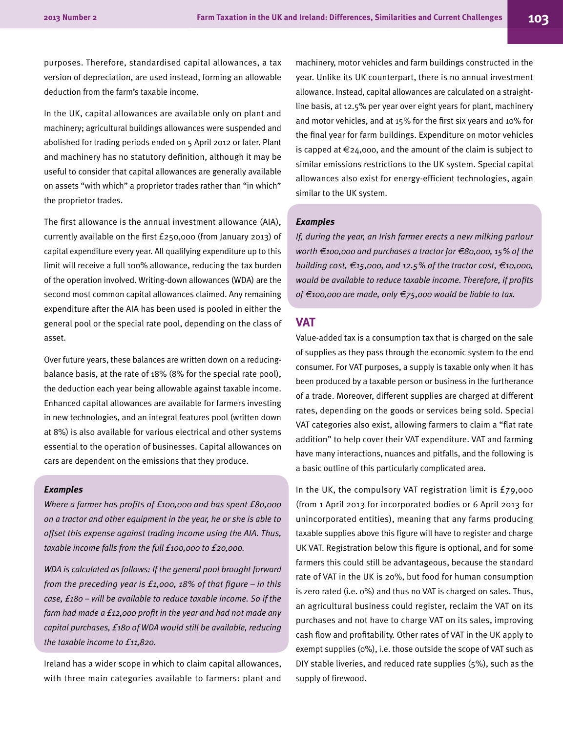purposes. Therefore, standardised capital allowances, a tax version of depreciation, are used instead, forming an allowable deduction from the farm's taxable income.

In the UK, capital allowances are available only on plant and machinery; agricultural buildings allowances were suspended and abolished for trading periods ended on 5 April 2012 or later. Plant and machinery has no statutory definition, although it may be useful to consider that capital allowances are generally available on assets "with which" a proprietor trades rather than "in which" the proprietor trades.

The first allowance is the annual investment allowance (AIA), currently available on the first £250,000 (from January 2013) of capital expenditure every year. All qualifying expenditure up to this limit will receive a full 100% allowance, reducing the tax burden of the operation involved. Writing-down allowances (WDA) are the second most common capital allowances claimed. Any remaining expenditure after the AIA has been used is pooled in either the general pool or the special rate pool, depending on the class of asset.

Over future years, these balances are written down on a reducingbalance basis, at the rate of 18% (8% for the special rate pool), the deduction each year being allowable against taxable income. Enhanced capital allowances are available for farmers investing in new technologies, and an integral features pool (written down at 8%) is also available for various electrical and other systems essential to the operation of businesses. Capital allowances on cars are dependent on the emissions that they produce.

#### *Examples*

*Where a farmer has profits of £100,000 and has spent £80,000 on a tractor and other equipment in the year, he or she is able to offset this expense against trading income using the AIA. Thus, taxable income falls from the full £100,000 to £20,000.*

*WDA is calculated as follows: If the general pool brought forward from the preceding year is £1,000, 18% of that figure – in this case, £180 – will be available to reduce taxable income. So if the farm had made a £12,000 profit in the year and had not made any capital purchases, £180 of WDA would still be available, reducing the taxable income to £11,820.*

Ireland has a wider scope in which to claim capital allowances, with three main categories available to farmers: plant and

machinery, motor vehicles and farm buildings constructed in the year. Unlike its UK counterpart, there is no annual investment allowance. Instead, capital allowances are calculated on a straightline basis, at 12.5% per year over eight years for plant, machinery and motor vehicles, and at 15% for the first six years and 10% for the final year for farm buildings. Expenditure on motor vehicles is capped at  $\epsilon$ 24,000, and the amount of the claim is subject to similar emissions restrictions to the UK system. Special capital allowances also exist for energy-efficient technologies, again similar to the UK system.

#### *Examples*

*If, during the year, an Irish farmer erects a new milking parlour worth €100,000 and purchases a tractor for €80,000, 15% of the building cost, €15,000, and 12.5% of the tractor cost, €10,000, would be available to reduce taxable income. Therefore, if profits of €100,000 are made, only €75,000 would be liable to tax.*

## **VAT**

Value-added tax is a consumption tax that is charged on the sale of supplies as they pass through the economic system to the end consumer. For VAT purposes, a supply is taxable only when it has been produced by a taxable person or business in the furtherance of a trade. Moreover, different supplies are charged at different rates, depending on the goods or services being sold. Special VAT categories also exist, allowing farmers to claim a "flat rate addition" to help cover their VAT expenditure. VAT and farming have many interactions, nuances and pitfalls, and the following is a basic outline of this particularly complicated area.

In the UK, the compulsory VAT registration limit is £79,000 (from 1 April 2013 for incorporated bodies or 6 April 2013 for unincorporated entities), meaning that any farms producing taxable supplies above this figure will have to register and charge UK VAT. Registration below this figure is optional, and for some farmers this could still be advantageous, because the standard rate of VAT in the UK is 20%, but food for human consumption is zero rated (i.e. 0%) and thus no VAT is charged on sales. Thus, an agricultural business could register, reclaim the VAT on its purchases and not have to charge VAT on its sales, improving cash flow and profitability. Other rates of VAT in the UK apply to exempt supplies (0%), i.e. those outside the scope of VAT such as DIY stable liveries, and reduced rate supplies (5%), such as the supply of firewood.